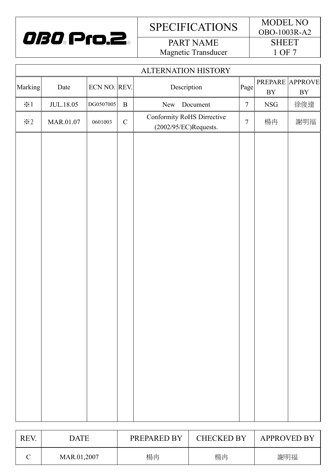

PART NAME Magnetic Transducer

|                    | ALTERNATION HISTORY |              |              |                                                        |                |             |                               |
|--------------------|---------------------|--------------|--------------|--------------------------------------------------------|----------------|-------------|-------------------------------|
| Marking            | Date                | ECN NO. REV. |              | Description                                            | Page           | $\rm BY$    | PREPARE APPROVE<br>${\rm BY}$ |
| $\divideontimes 1$ | <b>JUL.18.05</b>    | DG0507005    | $\, {\bf B}$ | New<br>Document                                        | $\tau$         | ${\rm NSG}$ | 徐俊達                           |
| $\divideontimes 2$ | MAR.01.07           | 0601003      | ${\bf C}$    | Conformity RoHS Dirrective<br>$(2002/95/EC)$ Requests. | $\overline{7}$ | 楊冉          | 謝明福                           |
|                    |                     |              |              |                                                        |                |             |                               |
|                    |                     |              |              |                                                        |                |             |                               |

| REV | DATE        | PREPARED BY | <b>CHECKED BY</b> | <b>APPROVED BY</b> |
|-----|-------------|-------------|-------------------|--------------------|
|     | MAR.01,2007 | 楊冉          | 楊冉                | 謝明福                |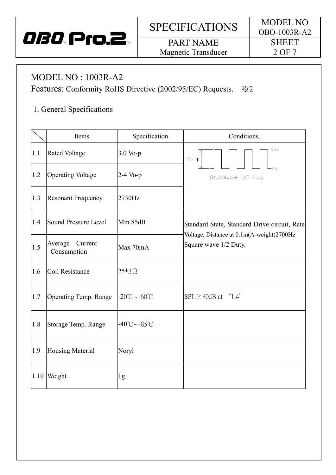

## PART NAME Magnetic Transducer

## MODEL NO : 1003R-A2

I

Features: Conformity RoHS Directive (2002/95/EC) Requests.  $\&2$ 

## 1. General Specifications

|      | Items                                         | Specification                     | Conditions.                                                        |  |
|------|-----------------------------------------------|-----------------------------------|--------------------------------------------------------------------|--|
| 1.1  | <b>Rated Voltage</b>                          | 3.0 Vo-p                          | Vcc<br>$V_0-p$                                                     |  |
| 1.2  | <b>Operating Voltage</b>                      | $2-4$ Vo-p                        | Ωv<br>Squarewave 1/2 Duty                                          |  |
| 1.3  | <b>Resonant Frequency</b>                     | 2730Hz                            |                                                                    |  |
| 1.4  | Sound Pressure Level                          | Min 85dB                          | Standard State, Standard Drive circuit, Rate                       |  |
| 1.5  | Current<br>Average<br>Max 70mA<br>Consumption |                                   | Voltage, Distance at 0.1m(A-weight)2700Hz<br>Square wave 1/2 Duty. |  |
| 1.6  | Coil Resistance                               | $25\pm 3\Omega$                   |                                                                    |  |
| 1.7  | <b>Operating Temp. Range</b>                  | $-20^{\circ}$ C ~ $+60^{\circ}$ C | $SPL \geq 80dB$ at "1.4"                                           |  |
| 1.8  | Storage Temp. Range                           | $-40^{\circ}$ C ~ $+85^{\circ}$ C |                                                                    |  |
| 1.9  | <b>Housing Material</b>                       | Noryl                             |                                                                    |  |
| 1.10 | Weight                                        | 1g                                |                                                                    |  |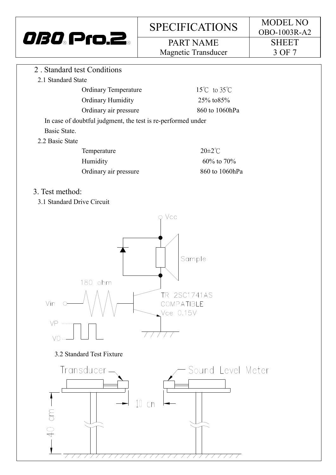PART NAME Magnetic Transducer OBO-1003R-A2 **SHEET** 3 OF 7

- 2 . Standard test Conditions
	- 2.1 Standard State

| <b>Ordinary Temperature</b>                                  | 15 $\degree$ C to 35 $\degree$ C |
|--------------------------------------------------------------|----------------------------------|
| <b>Ordinary Humidity</b>                                     | 25% to 85%                       |
| Ordinary air pressure                                        | 860 to 1060hPa                   |
| In case of doubtful judgment, the test is re-performed under |                                  |
| Basic State.                                                 |                                  |
| 2.2 Basic State                                              |                                  |

| Temperature           | $20\pm2^{\circ}$ C |
|-----------------------|--------------------|
| Humidity              | $60\%$ to 70%      |
| Ordinary air pressure | 860 to 1060hPa     |

#### 3. Test method:

3.1 Standard Drive Circuit

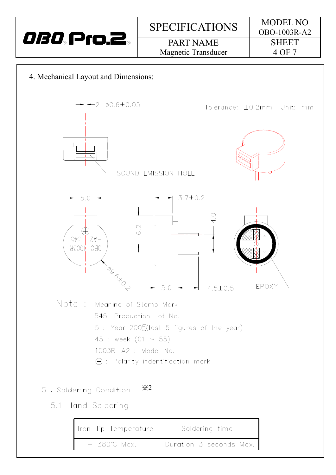

4. Mechanical Layout and Dimensions:



| Iron Tip Temperature | Soldering time          |
|----------------------|-------------------------|
| + 380°C Max.         | Duration 3 seconds Max. |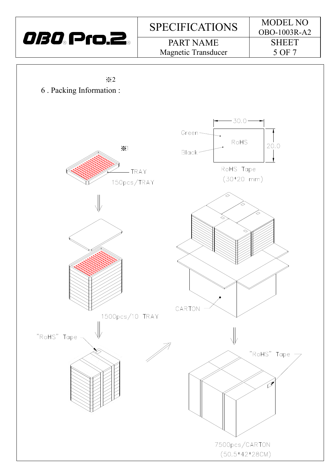

PART NAME Magnetic Transducer OBO-1003R-A2 **SHEET** 5 OF 7

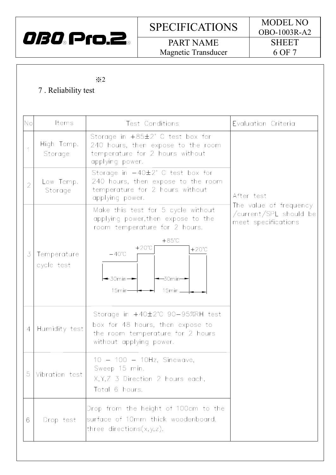

PART NAME Magnetic Transducer

#### ※2

### 7 . Reliability test

| No             | Items                     | Test Conditions                                                                                                                                 | Evaluation Criteria                                                     |
|----------------|---------------------------|-------------------------------------------------------------------------------------------------------------------------------------------------|-------------------------------------------------------------------------|
|                | High Temp.<br>Storage     | Storage in $+85\pm2^{\circ}$ C test box for<br>240 hours, then expose to the room<br>temperature for 2 hours without<br>applying power.         |                                                                         |
| $\overline{2}$ | Low Temp.<br>Storage      | Storage in $-40\pm2^{\circ}$ C test box for<br>240 hours, then expose to the room<br>temperature for 2 hours without<br>applying power.         | After test                                                              |
|                |                           | Make this test for 5 cycle without<br>applying power, then expose to the<br>room temperature for 2 hours.<br>$+85^{\circ}$ C                    | The value of frequency<br>/current/SPL should be<br>meet specifications |
| 3              | Temperature<br>cycle test | $+20^{\circ}$ C<br>$+20^{\circ}$ C<br>$-40^{\circ}$ C<br>$-30$ min $-$<br>$-30$ min $-$<br>15min-<br>15min.                                     |                                                                         |
| $\overline{4}$ | Humidity test             | Storage in $+40\pm2^{\circ}$ C 90-95%RH test<br>box for 48 hours, then expose to<br>the room temperature for 2 hours<br>without applying power. |                                                                         |
| 5              | Vibration test            | $10 - 100 - 10$ Hz, Sinewave,<br>Sweep 15 min.<br>X, Y, Z 3 Direction 2 hours each,<br>Total 6 hours.                                           |                                                                         |
| 6              | Drop test                 | Drop from the height of 100cm to the<br>surface of 10mm thick woodenboard.<br> three directions(x,y,z).                                         |                                                                         |